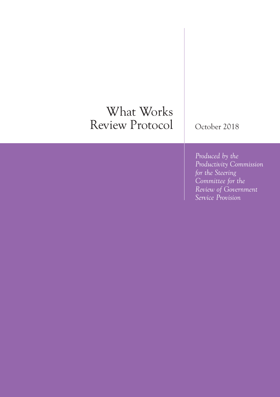# What Works Review Protocol

October 2018

*Produced by the Productivity Commission for the Steering Committee for the Review of Government Service Provision*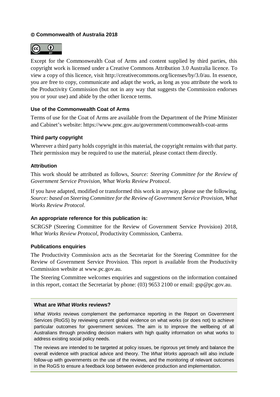### **Commonwealth of Australia 2018**



Except for the Commonwealth Coat of Arms and content supplied by third parties, this copyright work is licensed under a Creative Commons Attribution 3.0 Australia licence. To view a copy of this licence, visit http://creativecommons.org/licenses/by/3.0/au. In essence, you are free to copy, communicate and adapt the work, as long as you attribute the work to the Productivity Commission (but not in any way that suggests the Commission endorses you or your use) and abide by the other licence terms.

#### **Use of the Commonwealth Coat of Arms**

Terms of use for the Coat of Arms are available from the Department of the Prime Minister and Cabinet's website: https://www.pmc.gov.au/government/commonwealth-coat-arms

#### **Third party copyright**

Wherever a third party holds copyright in this material, the copyright remains with that party. Their permission may be required to use the material, please contact them directly.

#### **Attribution**

This work should be attributed as follows, *Source: Steering Committee for the Review of Government Service Provision, What Works Review Protocol*.

If you have adapted, modified or transformed this work in anyway, please use the following, *Source: based on Steering Committee for the Review of Government Service Provision, What Works Review Protocol*.

#### **An appropriate reference for this publication is:**

SCRGSP (Steering Committee for the Review of Government Service Provision) 2018, *What Works Review Protocol*, Productivity Commission, Canberra.

#### **Publications enquiries**

The Productivity Commission acts as the Secretariat for the Steering Committee for the Review of Government Service Provision. This report is available from the Productivity Commission website at www.pc.gov.au.

The Steering Committee welcomes enquiries and suggestions on the information contained in this report, contact the Secretariat by phone: (03) 9653 2100 or email: gsp@pc.gov.au.

#### **What are** *What Works* **reviews?**

*What Works* reviews complement the performance reporting in the Report on Government Services (RoGS) by reviewing current global evidence on what works (or does not) to achieve particular outcomes for government services. The aim is to improve the wellbeing of all Australians through providing decision makers with high quality information on what works to address existing social policy needs.

The reviews are intended to be targeted at policy issues, be rigorous yet timely and balance the overall evidence with practical advice and theory. The *What Works* approach will also include follow-up with governments on the use of the reviews, and the monitoring of relevant outcomes in the RoGS to ensure a feedback loop between evidence production and implementation.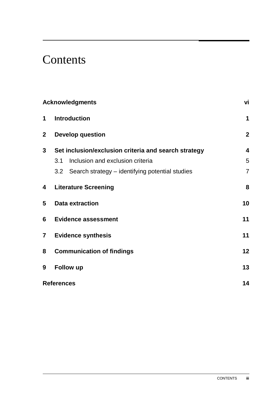# **Contents**

|                | <b>Acknowledgments</b>                               | vi             |
|----------------|------------------------------------------------------|----------------|
| 1              | <b>Introduction</b>                                  | 1              |
| $\mathbf{2}$   | <b>Develop question</b>                              | $\overline{2}$ |
| $\mathbf{3}$   | Set inclusion/exclusion criteria and search strategy | 4              |
|                | Inclusion and exclusion criteria<br>3.1              | 5              |
|                | 3.2 Search strategy – identifying potential studies  | $\overline{7}$ |
| 4              | <b>Literature Screening</b>                          | 8              |
| 5              | <b>Data extraction</b>                               | 10             |
| 6              | <b>Evidence assessment</b>                           | 11             |
| $\overline{7}$ | <b>Evidence synthesis</b>                            | 11             |
| 8              | <b>Communication of findings</b>                     | 12             |
| 9              | Follow up                                            | 13             |
|                | <b>References</b>                                    | 14             |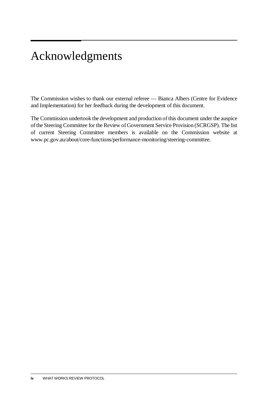# <span id="page-3-0"></span>Acknowledgments

The Commission wishes to thank our external referee — Bianca Albers (Centre for Evidence and Implementation) for her feedback during the development of this document.

The Commission undertook the development and production of this document under the auspice of the Steering Committee for the Review of Government Service Provision (SCRGSP). The list of current Steering Committee members is available on the Commission website at www.pc.gov.au/about/core-functions/performance-monitoring/steering-committee.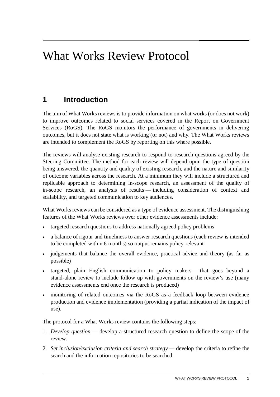# <span id="page-4-0"></span>What Works Review Protocol

# **1 Introduction**

The aim of What Works reviews is to provide information on what works (or does not work) to improve outcomes related to social services covered in the Report on Government Services (RoGS). The RoGS monitors the performance of governments in delivering outcomes, but it does not state what is working (or not) and why. The What Works reviews are intended to complement the RoGS by reporting on this where possible.

The reviews will analyse existing research to respond to research questions agreed by the Steering Committee. The method for each review will depend upon the type of question being answered, the quantity and quality of existing research, and the nature and similarity of outcome variables across the research. At a minimum they will include a structured and replicable approach to determining in-scope research, an assessment of the quality of in-scope research, an analysis of results — including consideration of context and scalability, and targeted communication to key audiences.

What Works reviews can be considered as a type of evidence assessment. The distinguishing features of the What Works reviews over other evidence assessments include:

- targeted research questions to address nationally agreed policy problems
- a balance of rigour and timeliness to answer research questions (each review is intended to be completed within 6 months) so output remains policy-relevant
- judgements that balance the overall evidence, practical advice and theory (as far as possible)
- targeted, plain English communication to policy makers that goes beyond a stand-alone review to include follow up with governments on the review's use (many evidence assessments end once the research is produced)
- monitoring of related outcomes via the RoGS as a feedback loop between evidence production and evidence implementation (providing a partial indication of the impact of use).

The protocol for a What Works review contains the following steps:

- 1. *Develop question* develop a structured research question to define the scope of the review.
- 2. *Set inclusion/exclusion criteria and search strategy —* develop the criteria to refine the search and the information repositories to be searched.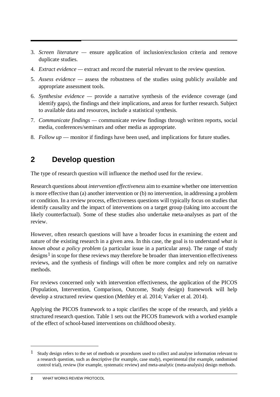- <span id="page-5-0"></span>3. *Screen literature —* ensure application of inclusion/exclusion criteria and remove duplicate studies.
- 4. *Extract evidence —* extract and record the material relevant to the review question.
- 5. *Assess evidence* assess the robustness of the studies using publicly available and appropriate assessment tools.
- 6. *Synthesise evidence* provide a narrative synthesis of the evidence coverage (and identify gaps), the findings and their implications, and areas for further research. Subject to available data and resources, include a statistical synthesis.
- 7. *Communicate findings* communicate review findings through written reports, social media, conferences/seminars and other media as appropriate.
- 8. *Follow up*  monitor if findings have been used, and implications for future studies.

## **2 Develop question**

The type of research question will influence the method used for the review.

Research questions about *intervention effectiveness* aim to examine whether one intervention is more effective than (a) another intervention or (b) no intervention, in addressing a problem or condition. In a review process, effectiveness questions will typically focus on studies that identify causality and the impact of interventions on a target group (taking into account the likely counterfactual). Some of these studies also undertake meta-analyses as part of the review.

However, often research questions will have a broader focus in examining the extent and nature of the existing research in a given area. In this case, the goal is to understand *what is known about a policy problem* (a particular issue in a particular area). The range of study designs<sup>[1](#page-5-1)</sup> in scope for these reviews may therefore be broader than intervention effectiveness reviews, and the synthesis of findings will often be more complex and rely on narrative methods.

For reviews concerned only with intervention effectiveness, the application of the PICOS (Population, Intervention, Comparison, Outcome, Study design) framework will help develop a structured review question (Methley et al. 2014; Varker et al. 2014).

Applying the PICOS framework to a topic clarifies the scope of the research, and yields a structured research question. Table 1 sets out the PICOS framework with a worked example of the effect of school-based interventions on childhood obesity.

-

<span id="page-5-1"></span><sup>&</sup>lt;sup>1</sup> Study design refers to the set of methods or procedures used to collect and analyse information relevant to a research question, such as descriptive (for example, case study), experimental (for example, randomised control trial), review (for example, systematic review) and meta-analytic (meta-analysis) design methods.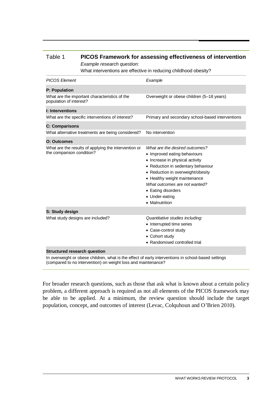| Example research question:<br>What interventions are effective in reducing childhood obesity? |                                                                                                                                                                                                                                                                                                         |  |
|-----------------------------------------------------------------------------------------------|---------------------------------------------------------------------------------------------------------------------------------------------------------------------------------------------------------------------------------------------------------------------------------------------------------|--|
| <b>PICOS Element</b>                                                                          | Example                                                                                                                                                                                                                                                                                                 |  |
| <b>P: Population</b>                                                                          |                                                                                                                                                                                                                                                                                                         |  |
| What are the important characteristics of the<br>population of interest?                      | Overweight or obese children (5-18 years)                                                                                                                                                                                                                                                               |  |
| <b>I: Interventions</b>                                                                       |                                                                                                                                                                                                                                                                                                         |  |
| What are the specific interventions of interest?                                              | Primary and secondary school-based interventions                                                                                                                                                                                                                                                        |  |
| <b>C: Comparisons</b>                                                                         |                                                                                                                                                                                                                                                                                                         |  |
| What alternative treatments are being considered?                                             | No intervention                                                                                                                                                                                                                                                                                         |  |
| <b>O: Outcomes</b>                                                                            |                                                                                                                                                                                                                                                                                                         |  |
| What are the results of applying the intervention or<br>the comparison condition?             | What are the desired outcomes?<br>• Improved eating behaviours<br>• Increase in physical activity<br>• Reduction in sedentary behaviour<br>• Reduction in overweight/obesity<br>• Healthy weight maintenance<br>What outcomes are not wanted?<br>• Eating disorders<br>• Under-eating<br>• Malnutrition |  |
| S: Study design                                                                               |                                                                                                                                                                                                                                                                                                         |  |
| What study designs are included?                                                              | Quantitative studies including:<br>• Interrupted time series<br>• Case-control study<br>• Cohort study<br>• Randomised controlled trial                                                                                                                                                                 |  |

#### Table 1 **PICOS Framework for assessing effectiveness of intervention** *Example research question:*

In overweight or obese children, what is the effect of early interventions in school-based settings (compared to no intervention) on weight loss and maintenance?

**Structured research question**

For broader research questions, such as those that ask what is known about a certain policy problem, a different approach is required as not all elements of the PICOS framework may be able to be applied. At a minimum, the review question should include the target population, concept, and outcomes of interest (Levac, Colquhoun and O'Brien 2010).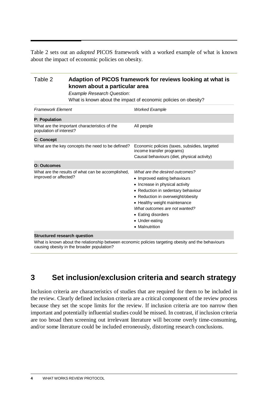<span id="page-7-0"></span>Table 2 sets out an *adapted* PICOS framework with a worked example of what is known about the impact of economic policies on obesity.

| Table 2                                                                    | Adaption of PICOS framework for reviews looking at what is<br>known about a particular area<br><b>Example Research Question:</b><br>What is known about the impact of economic policies on obesity? |                                                                                                                                                                                                                                                                                                         |  |
|----------------------------------------------------------------------------|-----------------------------------------------------------------------------------------------------------------------------------------------------------------------------------------------------|---------------------------------------------------------------------------------------------------------------------------------------------------------------------------------------------------------------------------------------------------------------------------------------------------------|--|
| <b>Framework Element</b>                                                   |                                                                                                                                                                                                     | <b>Worked Example</b>                                                                                                                                                                                                                                                                                   |  |
| <b>P: Population</b>                                                       |                                                                                                                                                                                                     |                                                                                                                                                                                                                                                                                                         |  |
| What are the important characteristics of the<br>population of interest?   |                                                                                                                                                                                                     | All people                                                                                                                                                                                                                                                                                              |  |
| <b>C: Concept</b>                                                          |                                                                                                                                                                                                     |                                                                                                                                                                                                                                                                                                         |  |
|                                                                            | What are the key concepts the need to be defined?                                                                                                                                                   | Economic policies (taxes, subsidies, targeted<br>income transfer programs)<br>Causal behaviours (diet, physical activity)                                                                                                                                                                               |  |
| O: Outcomes                                                                |                                                                                                                                                                                                     |                                                                                                                                                                                                                                                                                                         |  |
| What are the results of what can be accomplished,<br>improved or affected? |                                                                                                                                                                                                     | What are the desired outcomes?<br>• Improved eating behaviours<br>• Increase in physical activity<br>• Reduction in sedentary behaviour<br>• Reduction in overweight/obesity<br>• Healthy weight maintenance<br>What outcomes are not wanted?<br>• Eating disorders<br>• Under-eating<br>• Malnutrition |  |
|                                                                            |                                                                                                                                                                                                     |                                                                                                                                                                                                                                                                                                         |  |

#### **Structured research question**

What is known about the relationship between economic policies targeting obesity and the behaviours causing obesity in the broader population?

### **3 Set inclusion/exclusion criteria and search strategy**

Inclusion criteria are characteristics of studies that are required for them to be included in the review. Clearly defined inclusion criteria are a critical component of the review process because they set the scope limits for the review. If inclusion criteria are too narrow then important and potentially influential studies could be missed. In contrast, if inclusion criteria are too broad then screening out irrelevant literature will become overly time-consuming, and/or some literature could be included erroneously, distorting research conclusions.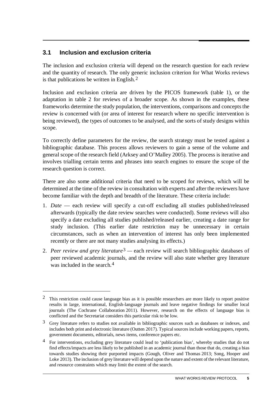### <span id="page-8-0"></span>**3.1 Inclusion and exclusion criteria**

 $\overline{a}$ 

The inclusion and exclusion criteria will depend on the research question for each review and the quantity of research. The only generic inclusion criterion for What Works reviews is that publications be written in English.[2](#page-8-1)

Inclusion and exclusion criteria are driven by the PICOS framework (table 1), or the adaptation in table 2 for reviews of a broader scope. As shown in the examples, these frameworks determine the study population, the interventions, comparisons and concepts the review is concerned with (or area of interest for research where no specific intervention is being reviewed), the types of outcomes to be analysed, and the sorts of study designs within scope.

To correctly define parameters for the review, the search strategy must be tested against a bibliographic database. This process allows reviewers to gain a sense of the volume and general scope of the research field (Arksey and O'Malley 2005). The process is iterative and involves trialling certain terms and phrases into search engines to ensure the scope of the research question is correct.

There are also some additional criteria that need to be scoped for reviews, which will be determined at the time of the review in consultation with experts and after the reviewers have become familiar with the depth and breadth of the literature. These criteria include:

- 1. *Date* each review will specify a cut-off excluding all studies published/released afterwards (typically the date review searches were conducted). Some reviews will also specify a date excluding all studies published/released earlier, creating a date range for study inclusion. (This earlier date restriction may be unnecessary in certain circumstances, such as when an intervention of interest has only been implemented recently or there are not many studies analysing its effects.)
- 2. *Peer review and grey literature*[3](#page-8-2) *—* each review will search bibliographic databases of peer reviewed academic journals, and the review will also state whether grey literature was included in the search.<sup>[4](#page-8-3)</sup>

<span id="page-8-1"></span><sup>2</sup> This restriction could cause language bias as it is possible researchers are more likely to report positive results in large, international, English-language journals and leave negative findings for smaller local journals (The Cochrane Collaboration 2011). However, research on the effects of language bias is conflicted and the Secretariat considers this particular risk to be low.

<span id="page-8-2"></span><sup>3</sup> Grey literature refers to studies not available in bibliographic sources such as databases or indexes, and includes both print and electronic literature (Outten 2017). Typical sources include working papers, reports, government documents, editorials, news items, conference papers etc.

<span id="page-8-3"></span><sup>4</sup> For interventions, excluding grey literature could lead to 'publication bias', whereby studies that do not find effects/impacts are less likely to be published in an academic journal than those that do, creating a bias towards studies showing their purported impacts (Gough, Oliver and Thomas 2013; Song, Hooper and Loke 2013). The inclusion of grey literature will depend upon the nature and extent of the relevant literature, and resource constraints which may limit the extent of the search.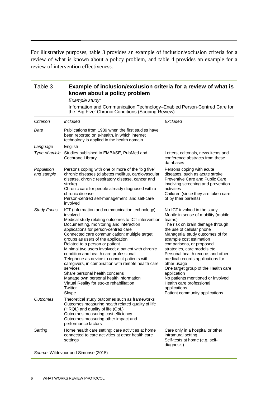For illustrative purposes, table 3 provides an example of inclusion/exclusion criteria for a review of what is known about a policy problem, and table 4 provides an example for a review of intervention effectiveness.

| Table 3                  | Example of inclusion/exclusion criteria for a review of what is<br>known about a policy problem                                                                                                                                                                                                                                                                                                                                                                                                                                                                                                                                                                                              |                                                                                                                                                                                                                                                                                                                                                                                                                                                                                                                                            |  |  |
|--------------------------|----------------------------------------------------------------------------------------------------------------------------------------------------------------------------------------------------------------------------------------------------------------------------------------------------------------------------------------------------------------------------------------------------------------------------------------------------------------------------------------------------------------------------------------------------------------------------------------------------------------------------------------------------------------------------------------------|--------------------------------------------------------------------------------------------------------------------------------------------------------------------------------------------------------------------------------------------------------------------------------------------------------------------------------------------------------------------------------------------------------------------------------------------------------------------------------------------------------------------------------------------|--|--|
|                          | Example study:<br>Information and Communication Technology-Enabled Person-Centred Care for<br>the 'Big Five' Chronic Conditions (Scoping Review)                                                                                                                                                                                                                                                                                                                                                                                                                                                                                                                                             |                                                                                                                                                                                                                                                                                                                                                                                                                                                                                                                                            |  |  |
|                          |                                                                                                                                                                                                                                                                                                                                                                                                                                                                                                                                                                                                                                                                                              |                                                                                                                                                                                                                                                                                                                                                                                                                                                                                                                                            |  |  |
| Criterion                | Included                                                                                                                                                                                                                                                                                                                                                                                                                                                                                                                                                                                                                                                                                     | Excluded                                                                                                                                                                                                                                                                                                                                                                                                                                                                                                                                   |  |  |
| Date                     | Publications from 1989 when the first studies have<br>been reported on e-health, in which internet<br>technology is applied in the health domain                                                                                                                                                                                                                                                                                                                                                                                                                                                                                                                                             |                                                                                                                                                                                                                                                                                                                                                                                                                                                                                                                                            |  |  |
| Language                 | English                                                                                                                                                                                                                                                                                                                                                                                                                                                                                                                                                                                                                                                                                      |                                                                                                                                                                                                                                                                                                                                                                                                                                                                                                                                            |  |  |
| Type of article          | Studies published in EMBASE, PubMed and<br>Cochrane Library                                                                                                                                                                                                                                                                                                                                                                                                                                                                                                                                                                                                                                  | Letters, editorials, news items and<br>conference abstracts from these<br>databases                                                                                                                                                                                                                                                                                                                                                                                                                                                        |  |  |
| Population<br>and sample | Persons coping with one or more of the "big five"<br>chronic diseases (diabetes mellitus, cardiovascular<br>disease, chronic respiratory disease, cancer and<br>stroke)<br>Chronic care for people already diagnosed with a<br>chronic disease<br>Person-centred self-management and self-care<br>involved                                                                                                                                                                                                                                                                                                                                                                                   | Persons coping with acute<br>diseases, such as acute stroke<br>Preventive Care and Public Care<br>involving screening and prevention<br>activities<br>Children (since they are taken care<br>of by their parents)                                                                                                                                                                                                                                                                                                                          |  |  |
| <b>Study Focus</b>       | ICT (information and communication technology)<br>involved<br>Medical study relating outcomes to ICT intervention<br>Documenting, monitoring and interaction<br>applications for person-centred care<br>Connected care communication: multiple target<br>groups as users of the application<br>Related to a person or patient<br>Minimal two users involved; a patient with chronic<br>condition and health care professional<br>Telephone as device to connect patients with<br>caregivers, in combination with remote health care<br>services<br>Share personal health concerns<br>Manage own personal health information<br>Virtual Reality for stroke rehabilitation<br>Twitter<br>Skype | No ICT involved in the study<br>Mobile in sense of mobility (mobile<br>teams)<br>The risk on brain damage through<br>the use of cellular phone<br>Managerial study outcomes of for<br>example cost estimation<br>comparisons, or proposed<br>strategies, care models etc.<br>Personal health records and other<br>medical records applications for<br>other usage<br>One target group of the Health care<br>application<br>No patients mentioned or involved<br>Health care professional<br>applications<br>Patient community applications |  |  |
| Outcomes                 | Theoretical study outcomes such as frameworks<br>Outcomes measuring health related quality of life<br>(HRQL) and quality of life (QoL)<br>Outcomes measuring cost efficiency<br>Outcomes measuring other impact and<br>performance factors                                                                                                                                                                                                                                                                                                                                                                                                                                                   |                                                                                                                                                                                                                                                                                                                                                                                                                                                                                                                                            |  |  |
| Setting                  | Home health care setting: care activities at home<br>connected to care activities at other health care<br>settings                                                                                                                                                                                                                                                                                                                                                                                                                                                                                                                                                                           | Care only in a hospital or other<br>intramural setting<br>Self-tests at home (e.g. self-<br>diagnosis)                                                                                                                                                                                                                                                                                                                                                                                                                                     |  |  |

*Source*: Wildevuur and Simonse (2015)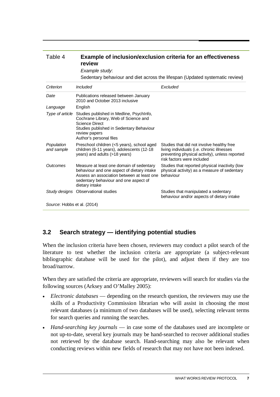<span id="page-10-0"></span>

| Table 4                     | review<br>Example study:                                                                                                                                                                          | Example of inclusion/exclusion criteria for an effectiveness<br>Sedentary behaviour and diet across the lifespan (Updated systematic review)                            |  |  |
|-----------------------------|---------------------------------------------------------------------------------------------------------------------------------------------------------------------------------------------------|-------------------------------------------------------------------------------------------------------------------------------------------------------------------------|--|--|
| Criterion                   | <b>Included</b>                                                                                                                                                                                   | Excluded                                                                                                                                                                |  |  |
| Date                        | Publications released between January<br>2010 and October 2013 inclusive                                                                                                                          |                                                                                                                                                                         |  |  |
| Language                    | English                                                                                                                                                                                           |                                                                                                                                                                         |  |  |
| Type of article             | Studies published in Medline, PsychInfo,<br>Cochrane Library, Web of Science and<br><b>Science Direct</b><br>Studies published in Sedentary Behaviour<br>review papers<br>Author's personal files |                                                                                                                                                                         |  |  |
| Population<br>and sample    | Preschool children (<5 years), school aged<br>children (6-11 years), adolescents (12-18<br>years) and adults (>18 years)                                                                          | Studies that did not involve healthy free<br>living individuals (i.e. chronic illnesses<br>preventing physical activity), unless reported<br>risk factors were included |  |  |
| Outcomes                    | Measure at least one domain of sedentary<br>behaviour and one aspect of dietary intake<br>Assess an association between at least one<br>sedentary behaviour and one aspect of<br>dietary intake   | Studies that reported physical inactivity (low<br>physical activity) as a measure of sedentary<br>behaviour                                                             |  |  |
|                             | Study designs Observational studies                                                                                                                                                               | Studies that manipulated a sedentary<br>behaviour and/or aspects of dietary intake                                                                                      |  |  |
| Source: Hobbs et al. (2014) |                                                                                                                                                                                                   |                                                                                                                                                                         |  |  |

### **3.2 Search strategy — identifying potential studies**

When the inclusion criteria have been chosen, reviewers may conduct a pilot search of the literature to test whether the inclusion criteria are appropriate (a subject-relevant bibliographic database will be used for the pilot), and adjust them if they are too broad/narrow.

When they are satisfied the criteria are appropriate, reviewers will search for studies via the following sources (Arksey and O'Malley 2005):

- *Electronic databases* depending on the research question, the reviewers may use the skills of a Productivity Commission librarian who will assist in choosing the most relevant databases (a minimum of two databases will be used), selecting relevant terms for search queries and running the searches.
- *Hand-searching key journals* in case some of the databases used are incomplete or not up-to-date, several key journals may be hand-searched to recover additional studies not retrieved by the database search. Hand-searching may also be relevant when conducting reviews within new fields of research that may not have not been indexed.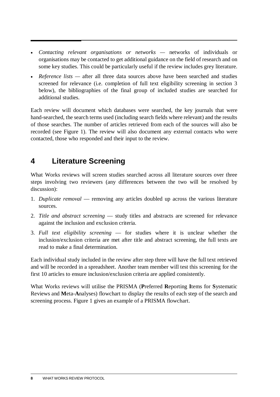- <span id="page-11-0"></span>• *Contacting relevant organisations or networks —* networks of individuals or organisations may be contacted to get additional guidance on the field of research and on some key studies. This could be particularly useful if the review includes grey literature.
- *Reference lists* after all three data sources above have been searched and studies screened for relevance (i.e. completion of full text eligibility screening in section 3 below), the bibliographies of the final group of included studies are searched for additional studies.

Each review will document which databases were searched, the key journals that were hand-searched, the search terms used (including search fields where relevant) and the results of those searches. The number of articles retrieved from each of the sources will also be recorded (see Figure 1). The review will also document any external contacts who were contacted, those who responded and their input to the review.

# **4 Literature Screening**

What Works reviews will screen studies searched across all literature sources over three steps involving two reviewers (any differences between the two will be resolved by discussion):

- 1. *Duplicate removal*  removing any articles doubled up across the various literature sources.
- 2. *Title and abstract screening*  study titles and abstracts are screened for relevance against the inclusion and exclusion criteria.
- 3. *Full text eligibility screening*  for studies where it is unclear whether the inclusion/exclusion criteria are met after title and abstract screening, the full texts are read to make a final determination.

Each individual study included in the review after step three will have the full text retrieved and will be recorded in a spreadsheet. Another team member will test this screening for the first 10 articles to ensure inclusion/exclusion criteria are applied consistently.

What Works reviews will utilise the PRISMA (**P**referred **R**eporting **I**tems for **S**ystematic Reviews and **M**eta-**A**nalyses) flowchart to display the results of each step of the search and screening process. Figure 1 gives an example of a PRISMA flowchart.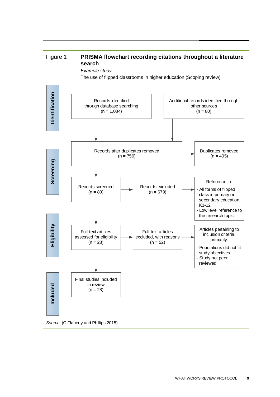

*Source*: (O'Flaherty and Phillips 2015)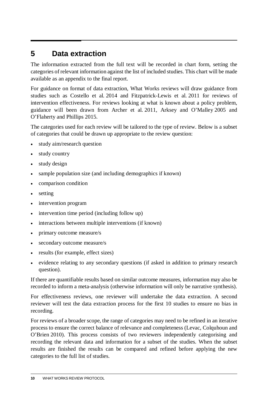## <span id="page-13-0"></span>**5 Data extraction**

The information extracted from the full text will be recorded in chart form, setting the categories of relevant information against the list of included studies. This chart will be made available as an appendix to the final report.

For guidance on format of data extraction, What Works reviews will draw guidance from studies such as Costello et al. 2014 and Fitzpatrick-Lewis et al. 2011 for reviews of intervention effectiveness. For reviews looking at what is known about a policy problem, guidance will been drawn from Archer et al. 2011, Arksey and O'Malley 2005 and O'Flaherty and Phillips 2015.

The categories used for each review will be tailored to the type of review. Below is a subset of categories that could be drawn up appropriate to the review question:

- study aim/research question
- study country
- study design
- sample population size (and including demographics if known)
- comparison condition
- setting
- intervention program
- intervention time period (including follow up)
- interactions between multiple interventions (if known)
- primary outcome measure/s
- secondary outcome measure/s
- results (for example, effect sizes)
- evidence relating to any secondary questions (if asked in addition to primary research question).

If there are quantifiable results based on similar outcome measures, information may also be recorded to inform a meta-analysis (otherwise information will only be narrative synthesis).

For effectiveness reviews, one reviewer will undertake the data extraction. A second reviewer will test the data extraction process for the first 10 studies to ensure no bias in recording.

For reviews of a broader scope, the range of categories may need to be refined in an iterative process to ensure the correct balance of relevance and completeness (Levac, Colquhoun and O'Brien 2010). This process consists of two reviewers independently categorising and recording the relevant data and information for a subset of the studies. When the subset results are finished the results can be compared and refined before applying the new categories to the full list of studies.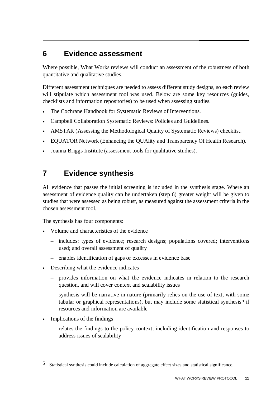### <span id="page-14-0"></span>**6 Evidence assessment**

Where possible, What Works reviews will conduct an assessment of the robustness of both quantitative and qualitative studies.

Different assessment techniques are needed to assess different study designs, so each review will stipulate which assessment tool was used. Below are some key resources (guides, checklists and information repositories) to be used when assessing studies.

- The Cochrane Handbook for Systematic Reviews of Interventions.
- Campbell Collaboration Systematic Reviews: Policies and Guidelines.
- AMSTAR (Assessing the Methodological Quality of Systematic Reviews) checklist.
- EQUATOR Network (Enhancing the QUAlity and Transparency Of Health Research).
- Joanna Briggs Institute (assessment tools for qualitative studies).

## **7 Evidence synthesis**

All evidence that passes the initial screening is included in the synthesis stage. Where an assessment of evidence quality can be undertaken (step 6) greater weight will be given to studies that were assessed as being robust, as measured against the assessment criteria in the chosen assessment tool.

The synthesis has four components:

- Volume and characteristics of the evidence
	- includes: types of evidence; research designs; populations covered; interventions used; and overall assessment of quality
	- enables identification of gaps or excesses in evidence base
- Describing what the evidence indicates
	- provides information on what the evidence indicates in relation to the research question, and will cover context and scalability issues
	- synthesis will be narrative in nature (primarily relies on the use of text, with some tabular or graphical representations), but may include some statistical synthesis<sup>[5](#page-14-1)</sup> if resources and information are available
- Implications of the findings

 $\overline{a}$ 

– relates the findings to the policy context, including identification and responses to address issues of scalability

<span id="page-14-1"></span><sup>5</sup> Statistical synthesis could include calculation of aggregate effect sizes and statistical significance.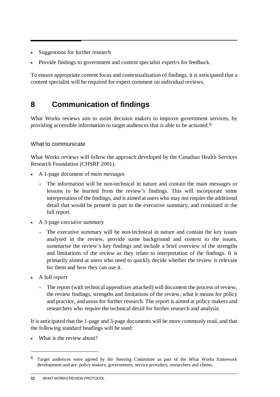- <span id="page-15-0"></span>Suggestions for further research
- Provide findings to government and content specialist expert/s for feedback.

To ensure appropriate content focus and contextualisation of findings, it is anticipated that a content specialist will be required for expert comment on individual reviews.

## **8 Communication of findings**

What Works reviews aim to assist decision makers to improve government services, by providing accessible information to target audiences that is able to be actioned.[6](#page-15-1)

### What to communicate

What Works reviews will follow the approach developed by the Canadian Health Services Research Foundation (CHSRF 2001).

- A 1-page document of *main messages*
	- The information will be non-technical in nature and contain the main messages or lessons to be learned from the review's findings. This will incorporate some interpretation of the findings, and is aimed at users who may not require the additional detail that would be present in part in the executive summary, and contained in the full report.
- A 3-page *executive summary*
	- The executive summary will be non-technical in nature and contain the key issues analysed in the review, provide some background and context to the issues, summarise the review's key findings and include a brief overview of the strengths and limitations of the review as they relate to interpretation of the findings. It is primarily aimed at users who need to quickly decide whether the review is relevant for them and how they can use it.
- A full *report*

-

– The report (with technical appendixes attached) will document the process of review, the review findings, strengths and limitations of the review, what it means for policy and practice, and areas for further research. The report is aimed at policy makers and researchers who require the technical detail for further research and analysis.

It is anticipated that the 1-page and 3-page documents will be more commonly read, and that the following standard headings will be used:

• What is the review about?

<span id="page-15-1"></span><sup>6</sup> Target audiences were agreed by the Steering Committee as part of the What Works framework development and are: policy makers; governments; service providers; researchers and clients.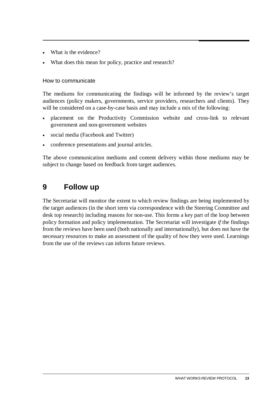- <span id="page-16-0"></span>What is the evidence?
- What does this mean for policy, practice and research?

### How to communicate

The mediums for communicating the findings will be informed by the review's target audiences (policy makers, governments, service providers, researchers and clients). They will be considered on a case-by-case basis and may include a mix of the following:

- placement on the Productivity Commission website and cross-link to relevant government and non-government websites
- social media (Facebook and Twitter)
- conference presentations and journal articles.

The above communication mediums and content delivery within those mediums may be subject to change based on feedback from target audiences.

### **9 Follow up**

The Secretariat will monitor the extent to which review findings are being implemented by the target audiences (in the short term via correspondence with the Steering Committee and desk top research) including reasons for non-use. This forms a key part of the loop between policy formation and policy implementation. The Secretariat will investigate *if* the findings from the reviews have been used (both nationally and internationally), but does not have the necessary resources to make an assessment of the quality of *how* they were used. Learnings from the use of the reviews can inform future reviews.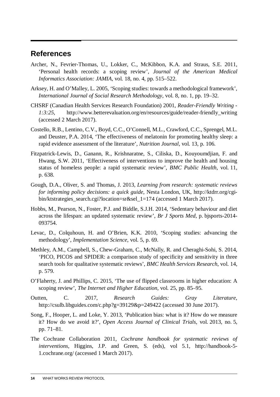### <span id="page-17-0"></span>**References**

- Archer, N., Fevrier-Thomas, U., Lokker, C., McKibbon, K.A. and Straus, S.E. 2011, 'Personal health records: a scoping review', *Journal of the American Medical Informatics Association: JAMIA*, vol. 18, no. 4, pp. 515–522.
- Arksey, H. and O'Malley, L. 2005, 'Scoping studies: towards a methodological framework', *International Journal of Social Research Methodology*, vol. 8, no. 1, pp. 19–32.
- CHSRF (Canadian Health Services Research Foundation) 2001, *Reader-Friendly Writing 1:3:25*, http://www.betterevaluation.org/en/resources/guide/reader-friendly\_writing (accessed 2 March 2017).
- Costello, R.B., Lentino, C.V., Boyd, C.C., O'Connell, M.L., Crawford, C.C., Sprengel, M.L. and Deuster, P.A. 2014, 'The effectiveness of melatonin for promoting healthy sleep: a rapid evidence assessment of the literature', *Nutrition Journal*, vol. 13, p. 106.
- Fitzpatrick-Lewis, D., Ganann, R., Krishnaratne, S., Ciliska, D., Kouyoumdjian, F. and Hwang, S.W. 2011, 'Effectiveness of interventions to improve the health and housing status of homeless people: a rapid systematic review', *BMC Public Health*, vol. 11, p. 638.
- Gough, D.A., Oliver, S. and Thomas, J. 2013, *Learning from research: systematic reviews for informing policy decisions: a quick guide*, Nesta London, UK, http://ktdrr.org/cgibin/ktstrategies\_search.cgi?location=sr&sel\_1=174 (accessed 1 March 2017).
- Hobbs, M., Pearson, N., Foster, P.J. and Biddle, S.J.H. 2014, 'Sedentary behaviour and diet across the lifespan: an updated systematic review', *Br J Sports Med*, p. bjsports-2014- 093754.
- Levac, D., Colquhoun, H. and O'Brien, K.K. 2010, 'Scoping studies: advancing the methodology', *Implementation Science*, vol. 5, p. 69.
- Methley, A.M., Campbell, S., Chew-Graham, C., McNally, R. and Cheraghi-Sohi, S. 2014, 'PICO, PICOS and SPIDER: a comparison study of specificity and sensitivity in three search tools for qualitative systematic reviews', *BMC Health Services Research*, vol. 14, p. 579.
- O'Flaherty, J. and Phillips, C. 2015, 'The use of flipped classrooms in higher education: A scoping review', *The Internet and Higher Education*, vol. 25, pp. 85–95.
- Outten, C. 2017, *Research Guides: Gray Literature*, http://csulb.libguides.com/c.php?g=39129&p=249422 (accessed 30 June 2017).
- Song, F., Hooper, L. and Loke, Y. 2013, 'Publication bias: what is it? How do we measure it? How do we avoid it?', *Open Access Journal of Clinical Trials*, vol. 2013, no. 5, pp. 71–81.
- The Cochrane Collaboration 2011, *Cochrane handbook for systematic reviews of interventions*, Higgins, J.P. and Green, S. (eds), vol 5.1, http://handbook-5- 1.cochrane.org/ (accessed 1 March 2017).